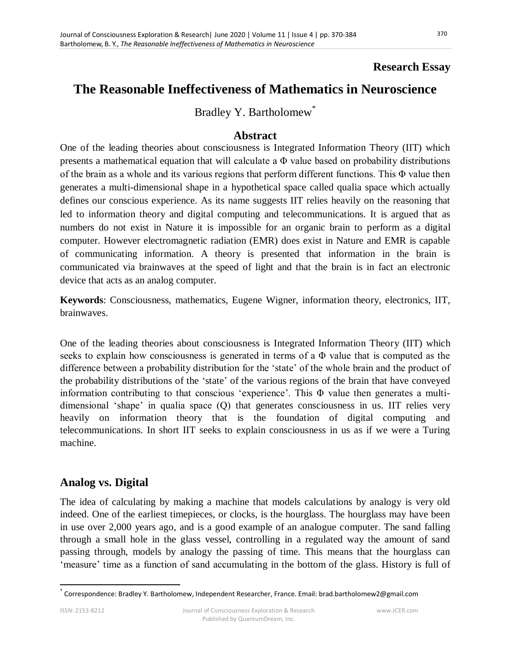## **Research Essay**

# **The Reasonable Ineffectiveness of Mathematics in Neuroscience**

Bradley Y. Bartholomew<sup>\*</sup>

#### **Abstract**

One of the leading theories about consciousness is Integrated Information Theory (IIT) which presents a mathematical equation that will calculate a  $\Phi$  value based on probability distributions of the brain as a whole and its various regions that perform different functions. This Φ value then generates a multi-dimensional shape in a hypothetical space called qualia space which actually defines our conscious experience. As its name suggests IIT relies heavily on the reasoning that led to information theory and digital computing and telecommunications. It is argued that as numbers do not exist in Nature it is impossible for an organic brain to perform as a digital computer. However electromagnetic radiation (EMR) does exist in Nature and EMR is capable of communicating information. A theory is presented that information in the brain is communicated via brainwaves at the speed of light and that the brain is in fact an electronic device that acts as an analog computer.

**Keywords**: Consciousness, mathematics, Eugene Wigner, information theory, electronics, IIT, brainwaves.

One of the leading theories about consciousness is Integrated Information Theory (IIT) which seeks to explain how consciousness is generated in terms of a  $\Phi$  value that is computed as the difference between a probability distribution for the "state" of the whole brain and the product of the probability distributions of the "state" of the various regions of the brain that have conveyed information contributing to that conscious 'experience'. This  $\Phi$  value then generates a multidimensional 'shape' in qualia space (Q) that generates consciousness in us. IIT relies very heavily on information theory that is the foundation of digital computing and telecommunications. In short IIT seeks to explain consciousness in us as if we were a Turing machine.

## **Analog vs. Digital**

The idea of calculating by making a machine that models calculations by analogy is very old indeed. One of the earliest timepieces, or clocks, is the hourglass. The hourglass may have been in use over 2,000 years ago, and is a good example of an analogue computer. The sand falling through a small hole in the glass vessel, controlling in a regulated way the amount of sand passing through, models by analogy the passing of time. This means that the hourglass can 'measure' time as a function of sand accumulating in the bottom of the glass. History is full of

 $\overline{a}$ \* Correspondence: Bradley Y. Bartholomew, Independent Researcher, France. Email: brad.bartholomew2@gmail.com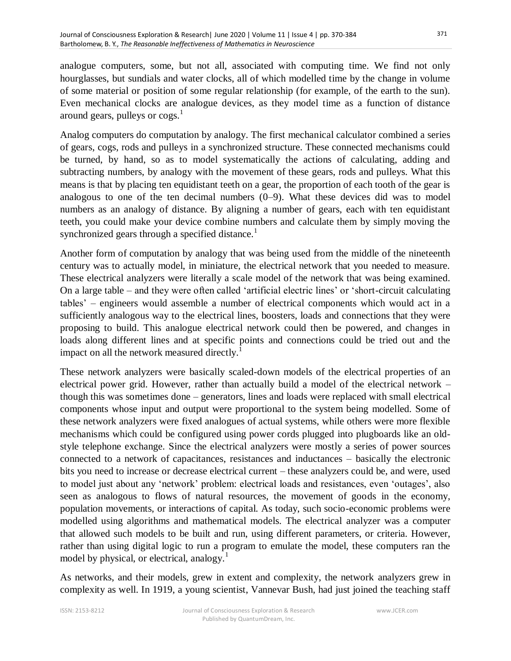analogue computers, some, but not all, associated with computing time. We find not only hourglasses, but sundials and water clocks, all of which modelled time by the change in volume of some material or position of some regular relationship (for example, of the earth to the sun). Even mechanical clocks are analogue devices, as they model time as a function of distance around gears, pulleys or cogs.<sup>1</sup>

Analog computers do computation by analogy. The first mechanical calculator combined a series of gears, cogs, rods and pulleys in a synchronized structure. These connected mechanisms could be turned, by hand, so as to model systematically the actions of calculating, adding and subtracting numbers, by analogy with the movement of these gears, rods and pulleys. What this means is that by placing ten equidistant teeth on a gear, the proportion of each tooth of the gear is analogous to one of the ten decimal numbers  $(0-9)$ . What these devices did was to model numbers as an analogy of distance. By aligning a number of gears, each with ten equidistant teeth, you could make your device combine numbers and calculate them by simply moving the synchronized gears through a specified distance.<sup>1</sup>

Another form of computation by analogy that was being used from the middle of the nineteenth century was to actually model, in miniature, the electrical network that you needed to measure. These electrical analyzers were literally a scale model of the network that was being examined. On a large table – and they were often called "artificial electric lines" or "short-circuit calculating tables" – engineers would assemble a number of electrical components which would act in a sufficiently analogous way to the electrical lines, boosters, loads and connections that they were proposing to build. This analogue electrical network could then be powered, and changes in loads along different lines and at specific points and connections could be tried out and the impact on all the network measured directly.<sup>1</sup>

These network analyzers were basically scaled-down models of the electrical properties of an electrical power grid. However, rather than actually build a model of the electrical network – though this was sometimes done – generators, lines and loads were replaced with small electrical components whose input and output were proportional to the system being modelled. Some of these network analyzers were fixed analogues of actual systems, while others were more flexible mechanisms which could be configured using power cords plugged into plugboards like an oldstyle telephone exchange. Since the electrical analyzers were mostly a series of power sources connected to a network of capacitances, resistances and inductances – basically the electronic bits you need to increase or decrease electrical current – these analyzers could be, and were, used to model just about any "network" problem: electrical loads and resistances, even "outages", also seen as analogous to flows of natural resources, the movement of goods in the economy, population movements, or interactions of capital. As today, such socio-economic problems were modelled using algorithms and mathematical models. The electrical analyzer was a computer that allowed such models to be built and run, using different parameters, or criteria. However, rather than using digital logic to run a program to emulate the model, these computers ran the model by physical, or electrical, analogy.<sup>1</sup>

As networks, and their models, grew in extent and complexity, the network analyzers grew in complexity as well. In 1919, a young scientist, Vannevar Bush, had just joined the teaching staff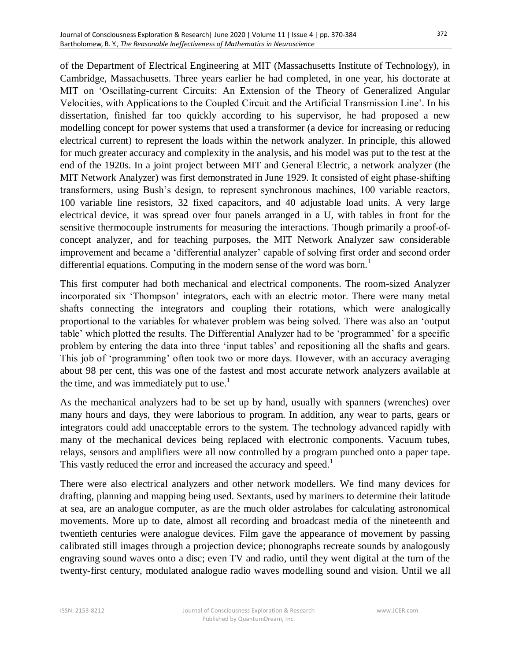Cambridge, Massachusetts. Three years earlier he had completed, in one year, his doctorate at MIT on "Oscillating-current Circuits: An Extension of the Theory of Generalized Angular Velocities, with Applications to the Coupled Circuit and the Artificial Transmission Line". In his dissertation, finished far too quickly according to his supervisor, he had proposed a new modelling concept for power systems that used a transformer (a device for increasing or reducing electrical current) to represent the loads within the network analyzer. In principle, this allowed for much greater accuracy and complexity in the analysis, and his model was put to the test at the end of the 1920s. In a joint project between MIT and General Electric, a network analyzer (the MIT Network Analyzer) was first demonstrated in June 1929. It consisted of eight phase-shifting transformers, using Bush"s design, to represent synchronous machines, 100 variable reactors, 100 variable line resistors, 32 fixed capacitors, and 40 adjustable load units. A very large electrical device, it was spread over four panels arranged in a U, with tables in front for the sensitive thermocouple instruments for measuring the interactions. Though primarily a proof-ofconcept analyzer, and for teaching purposes, the MIT Network Analyzer saw considerable improvement and became a 'differential analyzer' capable of solving first order and second order differential equations. Computing in the modern sense of the word was born.<sup>1</sup>

This first computer had both mechanical and electrical components. The room-sized Analyzer incorporated six "Thompson" integrators, each with an electric motor. There were many metal shafts connecting the integrators and coupling their rotations, which were analogically proportional to the variables for whatever problem was being solved. There was also an "output table" which plotted the results. The Differential Analyzer had to be "programmed" for a specific problem by entering the data into three "input tables" and repositioning all the shafts and gears. This job of "programming" often took two or more days. However, with an accuracy averaging about 98 per cent, this was one of the fastest and most accurate network analyzers available at the time, and was immediately put to use.<sup>1</sup>

As the mechanical analyzers had to be set up by hand, usually with spanners (wrenches) over many hours and days, they were laborious to program. In addition, any wear to parts, gears or integrators could add unacceptable errors to the system. The technology advanced rapidly with many of the mechanical devices being replaced with electronic components. Vacuum tubes, relays, sensors and amplifiers were all now controlled by a program punched onto a paper tape. This vastly reduced the error and increased the accuracy and speed.<sup>1</sup>

There were also electrical analyzers and other network modellers. We find many devices for drafting, planning and mapping being used. Sextants, used by mariners to determine their latitude at sea, are an analogue computer, as are the much older astrolabes for calculating astronomical movements. More up to date, almost all recording and broadcast media of the nineteenth and twentieth centuries were analogue devices. Film gave the appearance of movement by passing calibrated still images through a projection device; phonographs recreate sounds by analogously engraving sound waves onto a disc; even TV and radio, until they went digital at the turn of the twenty-first century, modulated analogue radio waves modelling sound and vision. Until we all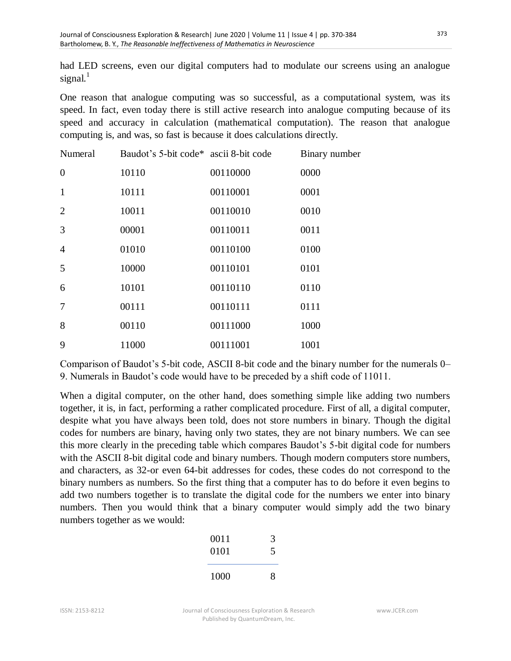had LED screens, even our digital computers had to modulate our screens using an analogue signal. $1$ 

One reason that analogue computing was so successful, as a computational system, was its speed. In fact, even today there is still active research into analogue computing because of its speed and accuracy in calculation (mathematical computation). The reason that analogue computing is, and was, so fast is because it does calculations directly.

| Numeral        | Baudot's 5-bit code* ascii 8-bit code |          | Binary number |
|----------------|---------------------------------------|----------|---------------|
| $\overline{0}$ | 10110                                 | 00110000 | 0000          |
| $\mathbf{1}$   | 10111                                 | 00110001 | 0001          |
| 2              | 10011                                 | 00110010 | 0010          |
| 3              | 00001                                 | 00110011 | 0011          |
| $\overline{4}$ | 01010                                 | 00110100 | 0100          |
| 5              | 10000                                 | 00110101 | 0101          |
| 6              | 10101                                 | 00110110 | 0110          |
| 7              | 00111                                 | 00110111 | 0111          |
| 8              | 00110                                 | 00111000 | 1000          |
| 9              | 11000                                 | 00111001 | 1001          |

Comparison of Baudot"s 5-bit code, ASCII 8-bit code and the binary number for the numerals 0– 9. Numerals in Baudot"s code would have to be preceded by a shift code of 11011.

When a digital computer, on the other hand, does something simple like adding two numbers together, it is, in fact, performing a rather complicated procedure. First of all, a digital computer, despite what you have always been told, does not store numbers in binary. Though the digital codes for numbers are binary, having only two states, they are not binary numbers. We can see this more clearly in the preceding table which compares Baudot"s 5-bit digital code for numbers with the ASCII 8-bit digital code and binary numbers. Though modern computers store numbers, and characters, as 32-or even 64-bit addresses for codes, these codes do not correspond to the binary numbers as numbers. So the first thing that a computer has to do before it even begins to add two numbers together is to translate the digital code for the numbers we enter into binary numbers. Then you would think that a binary computer would simply add the two binary numbers together as we would:

| 0011 | 3 |
|------|---|
| 0101 | 5 |
| 1000 | 8 |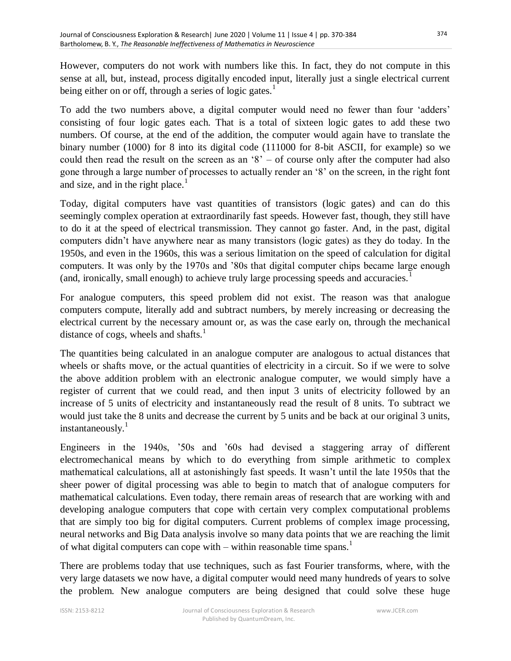However, computers do not work with numbers like this. In fact, they do not compute in this sense at all, but, instead, process digitally encoded input, literally just a single electrical current being either on or off, through a series of logic gates.<sup>1</sup>

To add the two numbers above, a digital computer would need no fewer than four "adders" consisting of four logic gates each. That is a total of sixteen logic gates to add these two numbers. Of course, at the end of the addition, the computer would again have to translate the binary number (1000) for 8 into its digital code (111000 for 8-bit ASCII, for example) so we could then read the result on the screen as an  $\mathcal{S}$  – of course only after the computer had also gone through a large number of processes to actually render an "8" on the screen, in the right font and size, and in the right place. $<sup>1</sup>$ </sup>

Today, digital computers have vast quantities of transistors (logic gates) and can do this seemingly complex operation at extraordinarily fast speeds. However fast, though, they still have to do it at the speed of electrical transmission. They cannot go faster. And, in the past, digital computers didn"t have anywhere near as many transistors (logic gates) as they do today. In the 1950s, and even in the 1960s, this was a serious limitation on the speed of calculation for digital computers. It was only by the 1970s and "80s that digital computer chips became large enough (and, ironically, small enough) to achieve truly large processing speeds and accuracies.<sup>1</sup>

For analogue computers, this speed problem did not exist. The reason was that analogue computers compute, literally add and subtract numbers, by merely increasing or decreasing the electrical current by the necessary amount or, as was the case early on, through the mechanical distance of cogs, wheels and shafts. $<sup>1</sup>$ </sup>

The quantities being calculated in an analogue computer are analogous to actual distances that wheels or shafts move, or the actual quantities of electricity in a circuit. So if we were to solve the above addition problem with an electronic analogue computer, we would simply have a register of current that we could read, and then input 3 units of electricity followed by an increase of 5 units of electricity and instantaneously read the result of 8 units. To subtract we would just take the 8 units and decrease the current by 5 units and be back at our original 3 units, instantaneously. $\frac{1}{1}$ 

Engineers in the 1940s, "50s and "60s had devised a staggering array of different electromechanical means by which to do everything from simple arithmetic to complex mathematical calculations, all at astonishingly fast speeds. It wasn"t until the late 1950s that the sheer power of digital processing was able to begin to match that of analogue computers for mathematical calculations. Even today, there remain areas of research that are working with and developing analogue computers that cope with certain very complex computational problems that are simply too big for digital computers. Current problems of complex image processing, neural networks and Big Data analysis involve so many data points that we are reaching the limit of what digital computers can cope with – within reasonable time spans.<sup>1</sup>

There are problems today that use techniques, such as fast Fourier transforms, where, with the very large datasets we now have, a digital computer would need many hundreds of years to solve the problem. New analogue computers are being designed that could solve these huge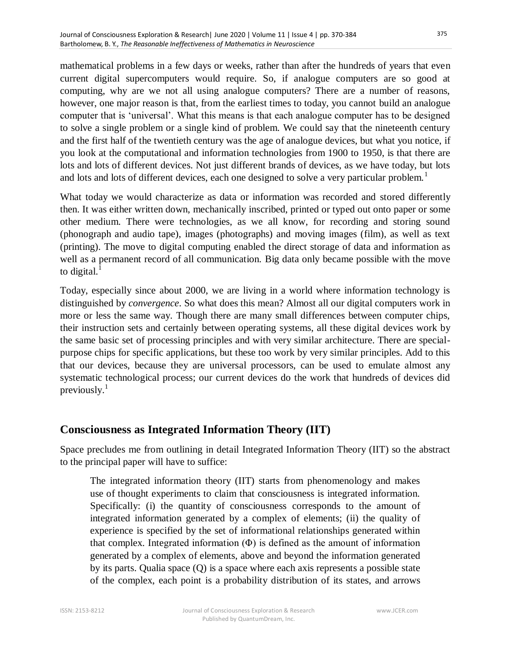mathematical problems in a few days or weeks, rather than after the hundreds of years that even current digital supercomputers would require. So, if analogue computers are so good at computing, why are we not all using analogue computers? There are a number of reasons, however, one major reason is that, from the earliest times to today, you cannot build an analogue computer that is "universal". What this means is that each analogue computer has to be designed to solve a single problem or a single kind of problem. We could say that the nineteenth century and the first half of the twentieth century was the age of analogue devices, but what you notice, if you look at the computational and information technologies from 1900 to 1950, is that there are lots and lots of different devices. Not just different brands of devices, as we have today, but lots and lots and lots of different devices, each one designed to solve a very particular problem.<sup>1</sup>

What today we would characterize as data or information was recorded and stored differently then. It was either written down, mechanically inscribed, printed or typed out onto paper or some other medium. There were technologies, as we all know, for recording and storing sound (phonograph and audio tape), images (photographs) and moving images (film), as well as text (printing). The move to digital computing enabled the direct storage of data and information as well as a permanent record of all communication. Big data only became possible with the move to digital. $\frac{1}{1}$ 

Today, especially since about 2000, we are living in a world where information technology is distinguished by *convergence*. So what does this mean? Almost all our digital computers work in more or less the same way. Though there are many small differences between computer chips, their instruction sets and certainly between operating systems, all these digital devices work by the same basic set of processing principles and with very similar architecture. There are specialpurpose chips for specific applications, but these too work by very similar principles. Add to this that our devices, because they are universal processors, can be used to emulate almost any systematic technological process; our current devices do the work that hundreds of devices did previously. $\frac{1}{1}$ 

## **Consciousness as Integrated Information Theory (IIT)**

Space precludes me from outlining in detail Integrated Information Theory (IIT) so the abstract to the principal paper will have to suffice:

The integrated information theory (IIT) starts from phenomenology and makes use of thought experiments to claim that consciousness is integrated information. Specifically: (i) the quantity of consciousness corresponds to the amount of integrated information generated by a complex of elements; (ii) the quality of experience is specified by the set of informational relationships generated within that complex. Integrated information  $(\Phi)$  is defined as the amount of information generated by a complex of elements, above and beyond the information generated by its parts. Qualia space (Q) is a space where each axis represents a possible state of the complex, each point is a probability distribution of its states, and arrows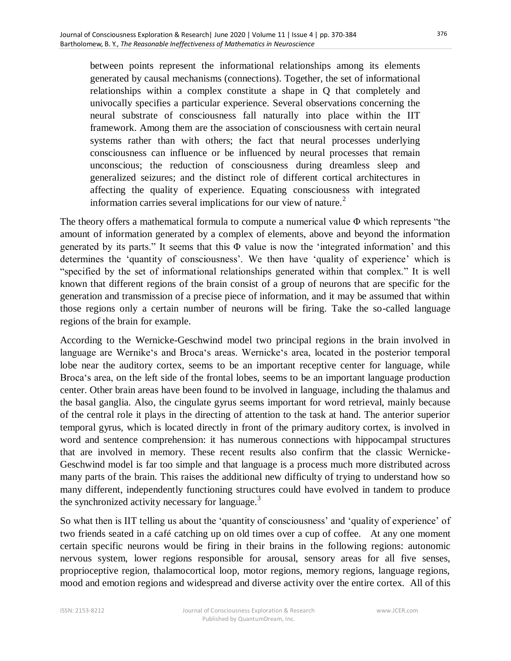between points represent the informational relationships among its elements generated by causal mechanisms (connections). Together, the set of informational relationships within a complex constitute a shape in Q that completely and univocally specifies a particular experience. Several observations concerning the neural substrate of consciousness fall naturally into place within the IIT framework. Among them are the association of consciousness with certain neural systems rather than with others; the fact that neural processes underlying consciousness can influence or be influenced by neural processes that remain unconscious; the reduction of consciousness during dreamless sleep and generalized seizures; and the distinct role of different cortical architectures in affecting the quality of experience. Equating consciousness with integrated information carries several implications for our view of nature. $2$ 

The theory offers a mathematical formula to compute a numerical value Φ which represents "the amount of information generated by a complex of elements, above and beyond the information generated by its parts." It seems that this Φ value is now the "integrated information" and this determines the 'quantity of consciousness'. We then have 'quality of experience' which is "specified by the set of informational relationships generated within that complex." It is well known that different regions of the brain consist of a group of neurons that are specific for the generation and transmission of a precise piece of information, and it may be assumed that within those regions only a certain number of neurons will be firing. Take the so-called language regions of the brain for example.

According to the Wernicke-Geschwind model two principal regions in the brain involved in language are Wernike's and Broca's areas. Wernicke's area, located in the posterior temporal lobe near the auditory cortex, seems to be an important receptive center for language, while Broca's area, on the left side of the frontal lobes, seems to be an important language production center. Other brain areas have been found to be involved in language, including the thalamus and the basal ganglia. Also, the cingulate gyrus seems important for word retrieval, mainly because of the central role it plays in the directing of attention to the task at hand. The anterior superior temporal gyrus, which is located directly in front of the primary auditory cortex, is involved in word and sentence comprehension: it has numerous connections with hippocampal structures that are involved in memory. These recent results also confirm that the classic Wernicke-Geschwind model is far too simple and that language is a process much more distributed across many parts of the brain. This raises the additional new difficulty of trying to understand how so many different, independently functioning structures could have evolved in tandem to produce the synchronized activity necessary for language.<sup>3</sup>

So what then is IIT telling us about the 'quantity of consciousness' and 'quality of experience' of two friends seated in a café catching up on old times over a cup of coffee. At any one moment certain specific neurons would be firing in their brains in the following regions: autonomic nervous system, lower regions responsible for arousal, sensory areas for all five senses, proprioceptive region, thalamocortical loop, motor regions, memory regions, language regions, mood and emotion regions and widespread and diverse activity over the entire cortex. All of this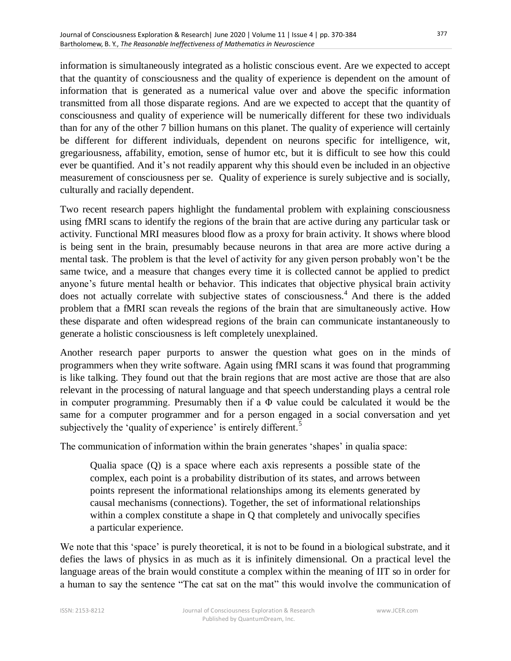information is simultaneously integrated as a holistic conscious event. Are we expected to accept that the quantity of consciousness and the quality of experience is dependent on the amount of information that is generated as a numerical value over and above the specific information transmitted from all those disparate regions. And are we expected to accept that the quantity of consciousness and quality of experience will be numerically different for these two individuals than for any of the other 7 billion humans on this planet. The quality of experience will certainly be different for different individuals, dependent on neurons specific for intelligence, wit, gregariousness, affability, emotion, sense of humor etc, but it is difficult to see how this could ever be quantified. And it's not readily apparent why this should even be included in an objective measurement of consciousness per se. Quality of experience is surely subjective and is socially, culturally and racially dependent.

Two recent research papers highlight the fundamental problem with explaining consciousness using fMRI scans to identify the regions of the brain that are active during any particular task or activity. Functional MRI measures blood flow as a proxy for brain activity. It shows where blood is being sent in the brain, presumably because neurons in that area are more active during a mental task. The problem is that the level of activity for any given person probably won"t be the same twice, and a measure that changes every time it is collected cannot be applied to predict anyone"s future mental health or behavior. This indicates that objective physical brain activity does not actually correlate with subjective states of consciousness.<sup>4</sup> And there is the added problem that a fMRI scan reveals the regions of the brain that are simultaneously active. How these disparate and often widespread regions of the brain can communicate instantaneously to generate a holistic consciousness is left completely unexplained.

Another research paper purports to answer the question what goes on in the minds of programmers when they write software. Again using fMRI scans it was found that programming is like talking. They found out that the brain regions that are most active are those that are also relevant in the processing of natural language and that speech understanding plays a central role in computer programming. Presumably then if a  $\Phi$  value could be calculated it would be the same for a computer programmer and for a person engaged in a social conversation and yet subjectively the 'quality of experience' is entirely different.<sup>5</sup>

The communication of information within the brain generates 'shapes' in qualia space:

Qualia space (Q) is a space where each axis represents a possible state of the complex, each point is a probability distribution of its states, and arrows between points represent the informational relationships among its elements generated by causal mechanisms (connections). Together, the set of informational relationships within a complex constitute a shape in Q that completely and univocally specifies a particular experience.

We note that this 'space' is purely theoretical, it is not to be found in a biological substrate, and it defies the laws of physics in as much as it is infinitely dimensional. On a practical level the language areas of the brain would constitute a complex within the meaning of IIT so in order for a human to say the sentence "The cat sat on the mat" this would involve the communication of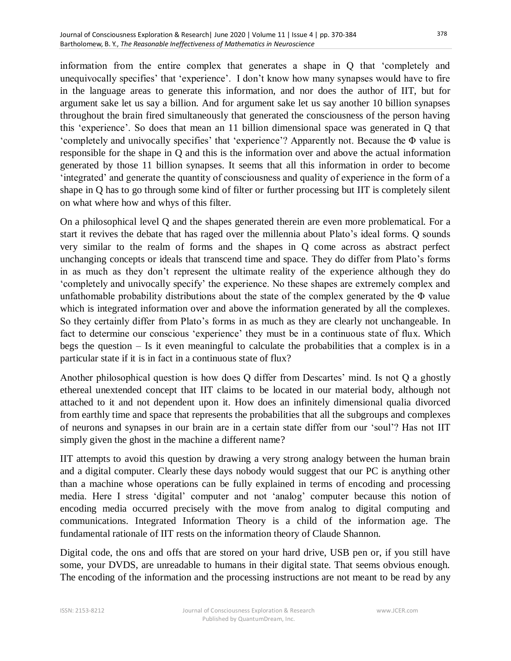information from the entire complex that generates a shape in Q that "completely and unequivocally specifies' that 'experience'. I don't know how many synapses would have to fire in the language areas to generate this information, and nor does the author of IIT, but for argument sake let us say a billion. And for argument sake let us say another 10 billion synapses throughout the brain fired simultaneously that generated the consciousness of the person having this "experience". So does that mean an 11 billion dimensional space was generated in Q that "completely and univocally specifies" that "experience"? Apparently not. Because the Φ value is responsible for the shape in Q and this is the information over and above the actual information generated by those 11 billion synapses. It seems that all this information in order to become "integrated" and generate the quantity of consciousness and quality of experience in the form of a shape in Q has to go through some kind of filter or further processing but IIT is completely silent on what where how and whys of this filter.

On a philosophical level Q and the shapes generated therein are even more problematical. For a start it revives the debate that has raged over the millennia about Plato's ideal forms. Q sounds very similar to the realm of forms and the shapes in Q come across as abstract perfect unchanging concepts or ideals that transcend time and space. They do differ from Plato"s forms in as much as they don"t represent the ultimate reality of the experience although they do "completely and univocally specify" the experience. No these shapes are extremely complex and unfathomable probability distributions about the state of the complex generated by the  $\Phi$  value which is integrated information over and above the information generated by all the complexes. So they certainly differ from Plato's forms in as much as they are clearly not unchangeable. In fact to determine our conscious 'experience' they must be in a continuous state of flux. Which begs the question – Is it even meaningful to calculate the probabilities that a complex is in a particular state if it is in fact in a continuous state of flux?

Another philosophical question is how does Q differ from Descartes" mind. Is not Q a ghostly ethereal unextended concept that IIT claims to be located in our material body, although not attached to it and not dependent upon it. How does an infinitely dimensional qualia divorced from earthly time and space that represents the probabilities that all the subgroups and complexes of neurons and synapses in our brain are in a certain state differ from our "soul"? Has not IIT simply given the ghost in the machine a different name?

IIT attempts to avoid this question by drawing a very strong analogy between the human brain and a digital computer. Clearly these days nobody would suggest that our PC is anything other than a machine whose operations can be fully explained in terms of encoding and processing media. Here I stress "digital" computer and not "analog" computer because this notion of encoding media occurred precisely with the move from analog to digital computing and communications. Integrated Information Theory is a child of the information age. The fundamental rationale of IIT rests on the information theory of Claude Shannon.

Digital code, the ons and offs that are stored on your hard drive, USB pen or, if you still have some, your DVDS, are unreadable to humans in their digital state. That seems obvious enough. The encoding of the information and the processing instructions are not meant to be read by any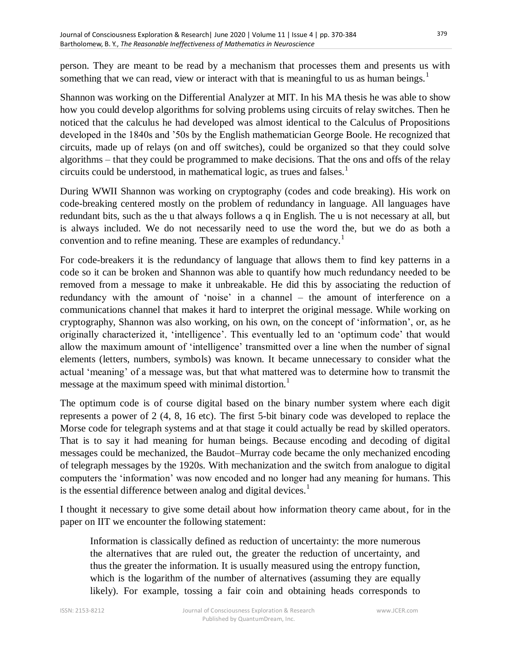person. They are meant to be read by a mechanism that processes them and presents us with something that we can read, view or interact with that is meaningful to us as human beings.<sup>1</sup>

Shannon was working on the Differential Analyzer at MIT. In his MA thesis he was able to show how you could develop algorithms for solving problems using circuits of relay switches. Then he noticed that the calculus he had developed was almost identical to the Calculus of Propositions developed in the 1840s and "50s by the English mathematician George Boole. He recognized that circuits, made up of relays (on and off switches), could be organized so that they could solve algorithms – that they could be programmed to make decisions. That the ons and offs of the relay circuits could be understood, in mathematical logic, as trues and falses. $<sup>1</sup>$ </sup>

During WWII Shannon was working on cryptography (codes and code breaking). His work on code-breaking centered mostly on the problem of redundancy in language. All languages have redundant bits, such as the u that always follows a q in English. The u is not necessary at all, but is always included. We do not necessarily need to use the word the, but we do as both a convention and to refine meaning. These are examples of redundancy.<sup>1</sup>

For code-breakers it is the redundancy of language that allows them to find key patterns in a code so it can be broken and Shannon was able to quantify how much redundancy needed to be removed from a message to make it unbreakable. He did this by associating the reduction of redundancy with the amount of "noise" in a channel – the amount of interference on a communications channel that makes it hard to interpret the original message. While working on cryptography, Shannon was also working, on his own, on the concept of "information", or, as he originally characterized it, "intelligence". This eventually led to an "optimum code" that would allow the maximum amount of "intelligence" transmitted over a line when the number of signal elements (letters, numbers, symbols) was known. It became unnecessary to consider what the actual 'meaning' of a message was, but that what mattered was to determine how to transmit the message at the maximum speed with minimal distortion.<sup>1</sup>

The optimum code is of course digital based on the binary number system where each digit represents a power of 2 (4, 8, 16 etc). The first 5-bit binary code was developed to replace the Morse code for telegraph systems and at that stage it could actually be read by skilled operators. That is to say it had meaning for human beings. Because encoding and decoding of digital messages could be mechanized, the Baudot–Murray code became the only mechanized encoding of telegraph messages by the 1920s. With mechanization and the switch from analogue to digital computers the "information" was now encoded and no longer had any meaning for humans. This is the essential difference between analog and digital devices.<sup>1</sup>

I thought it necessary to give some detail about how information theory came about, for in the paper on IIT we encounter the following statement:

Information is classically defined as reduction of uncertainty: the more numerous the alternatives that are ruled out, the greater the reduction of uncertainty, and thus the greater the information. It is usually measured using the entropy function, which is the logarithm of the number of alternatives (assuming they are equally likely). For example, tossing a fair coin and obtaining heads corresponds to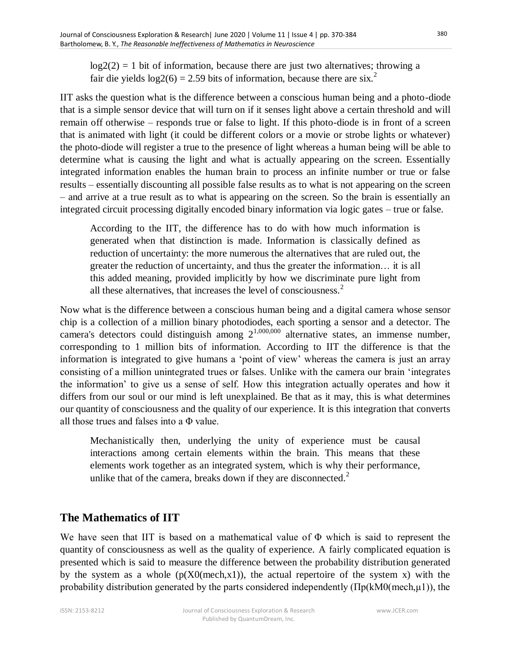$log(2(2) = 1$  bit of information, because there are just two alternatives; throwing a fair die yields  $log(26) = 2.59$  bits of information, because there are six.<sup>2</sup>

IIT asks the question what is the difference between a conscious human being and a photo-diode that is a simple sensor device that will turn on if it senses light above a certain threshold and will remain off otherwise – responds true or false to light. If this photo-diode is in front of a screen that is animated with light (it could be different colors or a movie or strobe lights or whatever) the photo-diode will register a true to the presence of light whereas a human being will be able to determine what is causing the light and what is actually appearing on the screen. Essentially integrated information enables the human brain to process an infinite number or true or false results – essentially discounting all possible false results as to what is not appearing on the screen – and arrive at a true result as to what is appearing on the screen. So the brain is essentially an integrated circuit processing digitally encoded binary information via logic gates – true or false.

According to the IIT, the difference has to do with how much information is generated when that distinction is made. Information is classically defined as reduction of uncertainty: the more numerous the alternatives that are ruled out, the greater the reduction of uncertainty, and thus the greater the information… it is all this added meaning, provided implicitly by how we discriminate pure light from all these alternatives, that increases the level of consciousness.<sup>2</sup>

Now what is the difference between a conscious human being and a digital camera whose sensor chip is a collection of a million binary photodiodes, each sporting a sensor and a detector. The camera's detectors could distinguish among  $2^{1,000,000}$  alternative states, an immense number, corresponding to 1 million bits of information. According to IIT the difference is that the information is integrated to give humans a "point of view" whereas the camera is just an array consisting of a million unintegrated trues or falses. Unlike with the camera our brain "integrates the information" to give us a sense of self. How this integration actually operates and how it differs from our soul or our mind is left unexplained. Be that as it may, this is what determines our quantity of consciousness and the quality of our experience. It is this integration that converts all those trues and falses into a Φ value.

Mechanistically then, underlying the unity of experience must be causal interactions among certain elements within the brain. This means that these elements work together as an integrated system, which is why their performance, unlike that of the camera, breaks down if they are disconnected. $2^2$ 

## **The Mathematics of IIT**

We have seen that IIT is based on a mathematical value of  $\Phi$  which is said to represent the quantity of consciousness as well as the quality of experience. A fairly complicated equation is presented which is said to measure the difference between the probability distribution generated by the system as a whole  $(p(X0(mech,x1)),$  the actual repertoire of the system x) with the probability distribution generated by the parts considered independently  $(\Pi p(kM0(mech,µ1))$ , the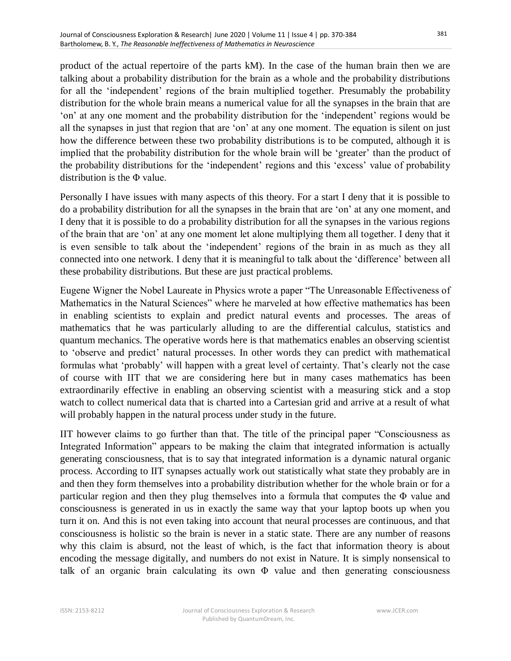product of the actual repertoire of the parts kM). In the case of the human brain then we are talking about a probability distribution for the brain as a whole and the probability distributions for all the 'independent' regions of the brain multiplied together. Presumably the probability distribution for the whole brain means a numerical value for all the synapses in the brain that are "on" at any one moment and the probability distribution for the "independent" regions would be all the synapses in just that region that are "on" at any one moment. The equation is silent on just how the difference between these two probability distributions is to be computed, although it is implied that the probability distribution for the whole brain will be 'greater' than the product of the probability distributions for the "independent" regions and this "excess" value of probability distribution is the Φ value.

Personally I have issues with many aspects of this theory. For a start I deny that it is possible to do a probability distribution for all the synapses in the brain that are "on" at any one moment, and I deny that it is possible to do a probability distribution for all the synapses in the various regions of the brain that are "on" at any one moment let alone multiplying them all together. I deny that it is even sensible to talk about the "independent" regions of the brain in as much as they all connected into one network. I deny that it is meaningful to talk about the "difference" between all these probability distributions. But these are just practical problems.

Eugene Wigner the Nobel Laureate in Physics wrote a paper "The Unreasonable Effectiveness of Mathematics in the Natural Sciences" where he marveled at how effective mathematics has been in enabling scientists to explain and predict natural events and processes. The areas of mathematics that he was particularly alluding to are the differential calculus, statistics and quantum mechanics. The operative words here is that mathematics enables an observing scientist to "observe and predict" natural processes. In other words they can predict with mathematical formulas what "probably" will happen with a great level of certainty. That"s clearly not the case of course with IIT that we are considering here but in many cases mathematics has been extraordinarily effective in enabling an observing scientist with a measuring stick and a stop watch to collect numerical data that is charted into a Cartesian grid and arrive at a result of what will probably happen in the natural process under study in the future.

IIT however claims to go further than that. The title of the principal paper "Consciousness as Integrated Information" appears to be making the claim that integrated information is actually generating consciousness, that is to say that integrated information is a dynamic natural organic process. According to IIT synapses actually work out statistically what state they probably are in and then they form themselves into a probability distribution whether for the whole brain or for a particular region and then they plug themselves into a formula that computes the Φ value and consciousness is generated in us in exactly the same way that your laptop boots up when you turn it on. And this is not even taking into account that neural processes are continuous, and that consciousness is holistic so the brain is never in a static state. There are any number of reasons why this claim is absurd, not the least of which, is the fact that information theory is about encoding the message digitally, and numbers do not exist in Nature. It is simply nonsensical to talk of an organic brain calculating its own  $\Phi$  value and then generating consciousness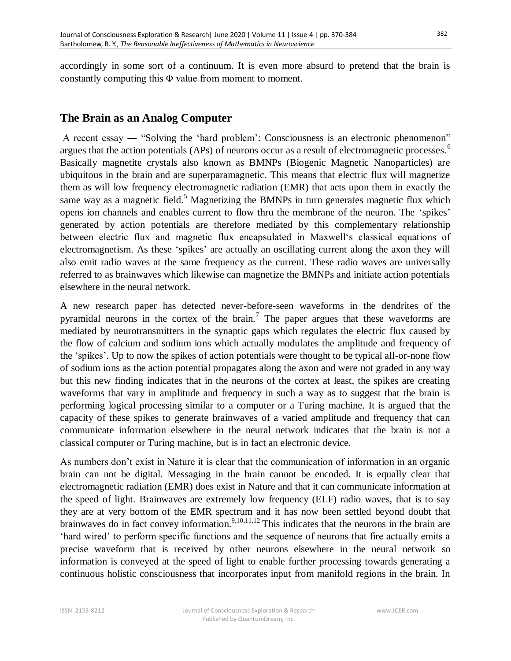accordingly in some sort of a continuum. It is even more absurd to pretend that the brain is constantly computing this Φ value from moment to moment.

### **The Brain as an Analog Computer**

A recent essay ― "Solving the "hard problem": Consciousness is an electronic phenomenon" argues that the action potentials (APs) of neurons occur as a result of electromagnetic processes.<sup>6</sup> Basically magnetite crystals also known as BMNPs (Biogenic Magnetic Nanoparticles) are ubiquitous in the brain and are superparamagnetic. This means that electric flux will magnetize them as will low frequency electromagnetic radiation (EMR) that acts upon them in exactly the same way as a magnetic field.<sup>5</sup> Magnetizing the BMNPs in turn generates magnetic flux which opens ion channels and enables current to flow thru the membrane of the neuron. The "spikes" generated by action potentials are therefore mediated by this complementary relationship between electric flux and magnetic flux encapsulated in Maxwell"s classical equations of electromagnetism. As these "spikes" are actually an oscillating current along the axon they will also emit radio waves at the same frequency as the current. These radio waves are universally referred to as brainwaves which likewise can magnetize the BMNPs and initiate action potentials elsewhere in the neural network.

A new research paper has detected never-before-seen waveforms in the dendrites of the pyramidal neurons in the cortex of the brain.<sup>7</sup> The paper argues that these waveforms are mediated by neurotransmitters in the synaptic gaps which regulates the electric flux caused by the flow of calcium and sodium ions which actually modulates the amplitude and frequency of the "spikes". Up to now the spikes of action potentials were thought to be typical all-or-none flow of sodium ions as the action potential propagates along the axon and were not graded in any way but this new finding indicates that in the neurons of the cortex at least, the spikes are creating waveforms that vary in amplitude and frequency in such a way as to suggest that the brain is performing logical processing similar to a computer or a Turing machine. It is argued that the capacity of these spikes to generate brainwaves of a varied amplitude and frequency that can communicate information elsewhere in the neural network indicates that the brain is not a classical computer or Turing machine, but is in fact an electronic device.

As numbers don"t exist in Nature it is clear that the communication of information in an organic brain can not be digital. Messaging in the brain cannot be encoded. It is equally clear that electromagnetic radiation (EMR) does exist in Nature and that it can communicate information at the speed of light. Brainwaves are extremely low frequency (ELF) radio waves, that is to say they are at very bottom of the EMR spectrum and it has now been settled beyond doubt that brainwaves do in fact convey information.<sup>9,10,11,12</sup> This indicates that the neurons in the brain are 'hard wired' to perform specific functions and the sequence of neurons that fire actually emits a precise waveform that is received by other neurons elsewhere in the neural network so information is conveyed at the speed of light to enable further processing towards generating a continuous holistic consciousness that incorporates input from manifold regions in the brain. In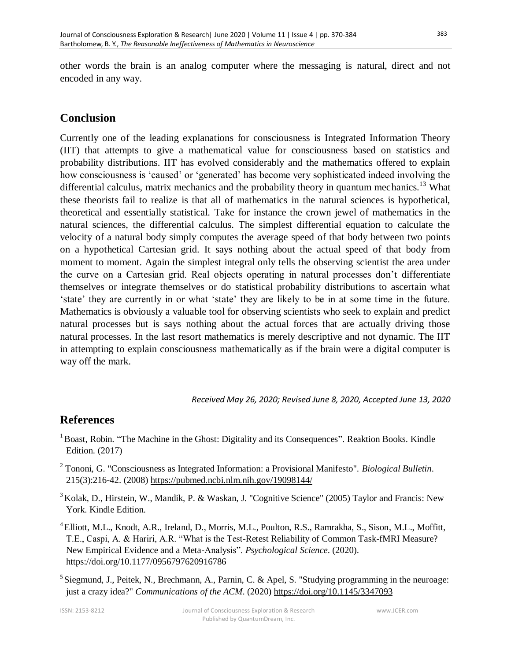other words the brain is an analog computer where the messaging is natural, direct and not encoded in any way.

### **Conclusion**

Currently one of the leading explanations for consciousness is Integrated Information Theory (IIT) that attempts to give a mathematical value for consciousness based on statistics and probability distributions. IIT has evolved considerably and the mathematics offered to explain how consciousness is 'caused' or 'generated' has become very sophisticated indeed involving the differential calculus, matrix mechanics and the probability theory in quantum mechanics.<sup>13</sup> What these theorists fail to realize is that all of mathematics in the natural sciences is hypothetical, theoretical and essentially statistical. Take for instance the crown jewel of mathematics in the natural sciences, the differential calculus. The simplest differential equation to calculate the velocity of a natural body simply computes the average speed of that body between two points on a hypothetical Cartesian grid. It says nothing about the actual speed of that body from moment to moment. Again the simplest integral only tells the observing scientist the area under the curve on a Cartesian grid. Real objects operating in natural processes don"t differentiate themselves or integrate themselves or do statistical probability distributions to ascertain what "state" they are currently in or what "state" they are likely to be in at some time in the future. Mathematics is obviously a valuable tool for observing scientists who seek to explain and predict natural processes but is says nothing about the actual forces that are actually driving those natural processes. In the last resort mathematics is merely descriptive and not dynamic. The IIT in attempting to explain consciousness mathematically as if the brain were a digital computer is way off the mark.

*Received May 26, 2020; Revised June 8, 2020, Accepted June 13, 2020*

#### **References**

- $<sup>1</sup>$  Boast, Robin. "The Machine in the Ghost: Digitality and its Consequences". Reaktion Books. Kindle</sup> Edition. (2017)
- <sup>2</sup> Tononi, G. "Consciousness as Integrated Information: a Provisional Manifesto". *Biological Bulletin*. 215(3):216-42. (2008)<https://pubmed.ncbi.nlm.nih.gov/19098144/>
- $3$  Kolak, D., Hirstein, W., Mandik, P. & Waskan, J. "Cognitive Science" (2005) Taylor and Francis: New York. Kindle Edition.
- <sup>4</sup> Elliott, M.L., Knodt, A.R., Ireland, D., Morris, M.L., Poulton, R.S., Ramrakha, S., Sison, M.L., Moffitt, T.E., Caspi, A. & Hariri, A.R. "What is the Test-Retest Reliability of Common Task-fMRI Measure? New Empirical Evidence and a Meta-Analysis". *Psychological Science*. (2020). <https://doi.org/10.1177/0956797620916786>
- <sup>5</sup> Siegmund, J., Peitek, N., Brechmann, A., Parnin, C. & Apel, S. "Studying programming in the neuroage: just a crazy idea?" *Communications of the ACM*. (2020)<https://doi.org/10.1145/3347093>